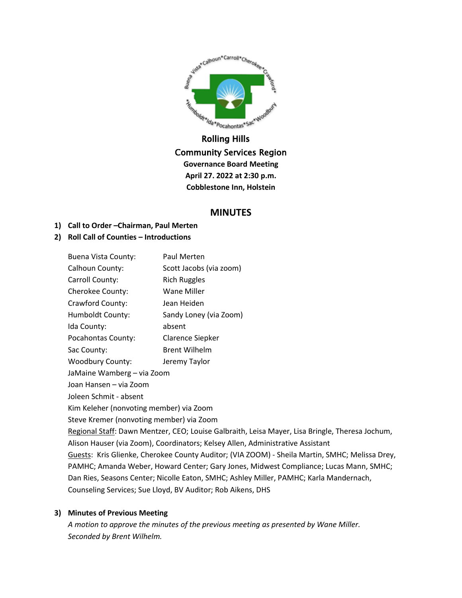

# Community Services Region **Governance Board Meeting April 27. 2022 at 2:30 p.m. Cobblestone Inn, Holstein**

# **MINUTES**

# **1) Call to Order –Chairman, Paul Merten**

# **2) Roll Call of Counties – Introductions**

| <b>Buena Vista County:</b>                                                                      | Paul Merten             |  |
|-------------------------------------------------------------------------------------------------|-------------------------|--|
| Calhoun County:                                                                                 | Scott Jacobs (via zoom) |  |
| Carroll County:                                                                                 | <b>Rich Ruggles</b>     |  |
| Cherokee County:                                                                                | Wane Miller             |  |
| Crawford County:                                                                                | Jean Heiden             |  |
| Humboldt County:                                                                                | Sandy Loney (via Zoom)  |  |
| Ida County:                                                                                     | absent                  |  |
| Pocahontas County:                                                                              | Clarence Siepker        |  |
| Sac County:                                                                                     | <b>Brent Wilhelm</b>    |  |
| <b>Woodbury County:</b>                                                                         | Jeremy Taylor           |  |
| JaMaine Wamberg - via Zoom                                                                      |                         |  |
| Joan Hansen - via Zoom                                                                          |                         |  |
| Joleen Schmit - absent                                                                          |                         |  |
| Kim Keleher (nonvoting member) via Zoom                                                         |                         |  |
| Steve Kremer (nonvoting member) via Zoom                                                        |                         |  |
| Regional Staff: Dawn Mentzer, CEO; Louise Galbraith, Leisa Mayer, Lisa Bringle, Theresa Jochum, |                         |  |
| Alison Hauser (via Zoom), Coordinators; Kelsey Allen, Administrative Assistant                  |                         |  |
| Guests: Kris Glienke, Cherokee County Auditor; (VIA ZOOM) - Sheila Martin, SMHC; Melissa Drey,  |                         |  |
| PAMHC; Amanda Weber, Howard Center; Gary Jones, Midwest Compliance; Lucas Mann, SMHC;           |                         |  |
| Dan Ries, Seasons Center; Nicolle Eaton, SMHC; Ashley Miller, PAMHC; Karla Mandernach,          |                         |  |
| Counseling Services; Sue Lloyd, BV Auditor; Rob Aikens, DHS                                     |                         |  |

## **3) Minutes of Previous Meeting**

*A motion to approve the minutes of the previous meeting as presented by Wane Miller. Seconded by Brent Wilhelm.*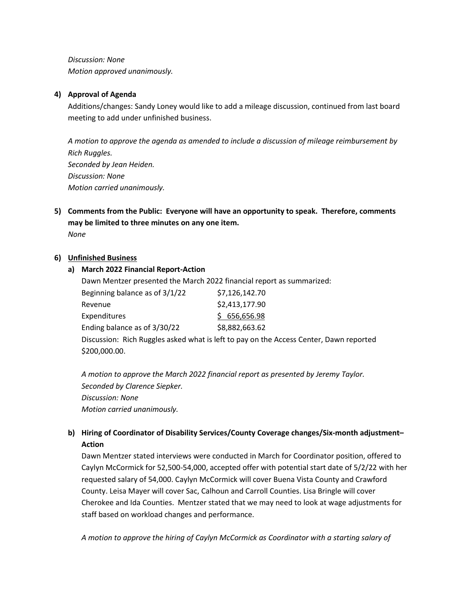*Discussion: None Motion approved unanimously.*

## **4) Approval of Agenda**

Additions/changes: Sandy Loney would like to add a mileage discussion, continued from last board meeting to add under unfinished business.

*A motion to approve the agenda as amended to include a discussion of mileage reimbursement by Rich Ruggles. Seconded by Jean Heiden. Discussion: None Motion carried unanimously.*

**5) Comments from the Public: Everyone will have an opportunity to speak. Therefore, comments may be limited to three minutes on any one item.**

*None*

#### **6) Unfinished Business**

#### **a) March 2022 Financial Report-Action**

|                                | Dawn Mentzer presented the March 2022 financial report as summarized:                  |
|--------------------------------|----------------------------------------------------------------------------------------|
| Beginning balance as of 3/1/22 | \$7,126,142.70                                                                         |
| Revenue                        | \$2,413,177.90                                                                         |
| Expenditures                   | \$656,656.98                                                                           |
| Ending balance as of 3/30/22   | \$8,882,663.62                                                                         |
|                                | Discussion: Rich Ruggles asked what is left to pay on the Access Center, Dawn reported |
| \$200,000.00.                  |                                                                                        |

*A motion to approve the March 2022 financial report as presented by Jeremy Taylor. Seconded by Clarence Siepker. Discussion: None Motion carried unanimously.*

# **b) Hiring of Coordinator of Disability Services/County Coverage changes/Six-month adjustment– Action**

Dawn Mentzer stated interviews were conducted in March for Coordinator position, offered to Caylyn McCormick for 52,500-54,000, accepted offer with potential start date of 5/2/22 with her requested salary of 54,000. Caylyn McCormick will cover Buena Vista County and Crawford County. Leisa Mayer will cover Sac, Calhoun and Carroll Counties. Lisa Bringle will cover Cherokee and Ida Counties. Mentzer stated that we may need to look at wage adjustments for staff based on workload changes and performance.

*A motion to approve the hiring of Caylyn McCormick as Coordinator with a starting salary of*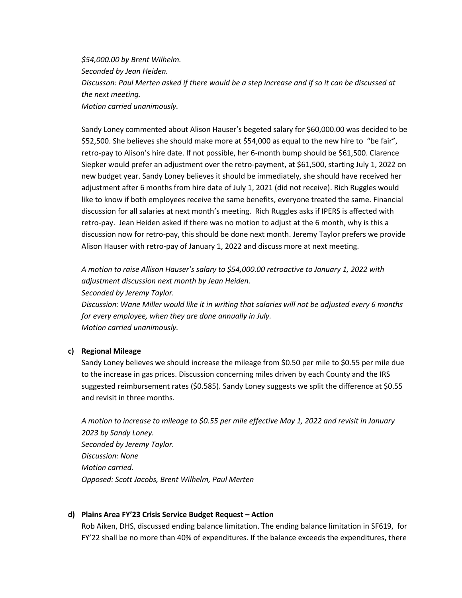*\$54,000.00 by Brent Wilhelm. Seconded by Jean Heiden. Discusson: Paul Merten asked if there would be a step increase and if so it can be discussed at the next meeting. Motion carried unanimously.*

Sandy Loney commented about Alison Hauser's begeted salary for \$60,000.00 was decided to be \$52,500. She believes she should make more at \$54,000 as equal to the new hire to "be fair", retro-pay to Alison's hire date. If not possible, her 6-month bump should be \$61,500. Clarence Siepker would prefer an adjustment over the retro-payment, at \$61,500, starting July 1, 2022 on new budget year. Sandy Loney believes it should be immediately, she should have received her adjustment after 6 months from hire date of July 1, 2021 (did not receive). Rich Ruggles would like to know if both employees receive the same benefits, everyone treated the same. Financial discussion for all salaries at next month's meeting. Rich Ruggles asks if IPERS is affected with retro-pay. Jean Heiden asked if there was no motion to adjust at the 6 month, why is this a discussion now for retro-pay, this should be done next month. Jeremy Taylor prefers we provide Alison Hauser with retro-pay of January 1, 2022 and discuss more at next meeting.

*A motion to raise Allison Hauser's salary to \$54,000.00 retroactive to January 1, 2022 with adjustment discussion next month by Jean Heiden.*

*Seconded by Jeremy Taylor.*

*Discussion: Wane Miller would like it in writing that salaries will not be adjusted every 6 months for every employee, when they are done annually in July. Motion carried unanimously.*

#### **c) Regional Mileage**

Sandy Loney believes we should increase the mileage from \$0.50 per mile to \$0.55 per mile due to the increase in gas prices. Discussion concerning miles driven by each County and the IRS suggested reimbursement rates (\$0.585). Sandy Loney suggests we split the difference at \$0.55 and revisit in three months.

*A motion to increase to mileage to \$0.55 per mile effective May 1, 2022 and revisit in January 2023 by Sandy Loney. Seconded by Jeremy Taylor. Discussion: None Motion carried. Opposed: Scott Jacobs, Brent Wilhelm, Paul Merten*

#### **d) Plains Area FY'23 Crisis Service Budget Request – Action**

Rob Aiken, DHS, discussed ending balance limitation. The ending balance limitation in SF619, for FY'22 shall be no more than 40% of expenditures. If the balance exceeds the expenditures, there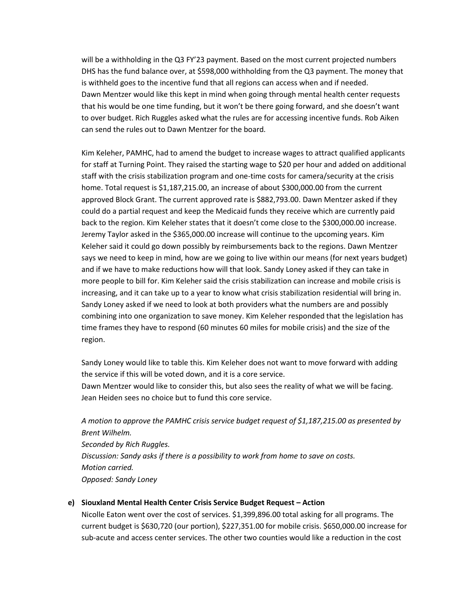will be a withholding in the Q3 FY'23 payment. Based on the most current projected numbers DHS has the fund balance over, at \$598,000 withholding from the Q3 payment. The money that is withheld goes to the incentive fund that all regions can access when and if needed. Dawn Mentzer would like this kept in mind when going through mental health center requests that his would be one time funding, but it won't be there going forward, and she doesn't want to over budget. Rich Ruggles asked what the rules are for accessing incentive funds. Rob Aiken can send the rules out to Dawn Mentzer for the board.

Kim Keleher, PAMHC, had to amend the budget to increase wages to attract qualified applicants for staff at Turning Point. They raised the starting wage to \$20 per hour and added on additional staff with the crisis stabilization program and one-time costs for camera/security at the crisis home. Total request is \$1,187,215.00, an increase of about \$300,000.00 from the current approved Block Grant. The current approved rate is \$882,793.00. Dawn Mentzer asked if they could do a partial request and keep the Medicaid funds they receive which are currently paid back to the region. Kim Keleher states that it doesn't come close to the \$300,000.00 increase. Jeremy Taylor asked in the \$365,000.00 increase will continue to the upcoming years. Kim Keleher said it could go down possibly by reimbursements back to the regions. Dawn Mentzer says we need to keep in mind, how are we going to live within our means (for next years budget) and if we have to make reductions how will that look. Sandy Loney asked if they can take in more people to bill for. Kim Keleher said the crisis stabilization can increase and mobile crisis is increasing, and it can take up to a year to know what crisis stabilization residential will bring in. Sandy Loney asked if we need to look at both providers what the numbers are and possibly combining into one organization to save money. Kim Keleher responded that the legislation has time frames they have to respond (60 minutes 60 miles for mobile crisis) and the size of the region.

Sandy Loney would like to table this. Kim Keleher does not want to move forward with adding the service if this will be voted down, and it is a core service.

Dawn Mentzer would like to consider this, but also sees the reality of what we will be facing. Jean Heiden sees no choice but to fund this core service.

*A motion to approve the PAMHC crisis service budget request of \$1,187,215.00 as presented by Brent Wilhelm. Seconded by Rich Ruggles. Discussion: Sandy asks if there is a possibility to work from home to save on costs. Motion carried. Opposed: Sandy Loney*

## **e) Siouxland Mental Health Center Crisis Service Budget Request – Action**

Nicolle Eaton went over the cost of services. \$1,399,896.00 total asking for all programs. The current budget is \$630,720 (our portion), \$227,351.00 for mobile crisis. \$650,000.00 increase for sub-acute and access center services. The other two counties would like a reduction in the cost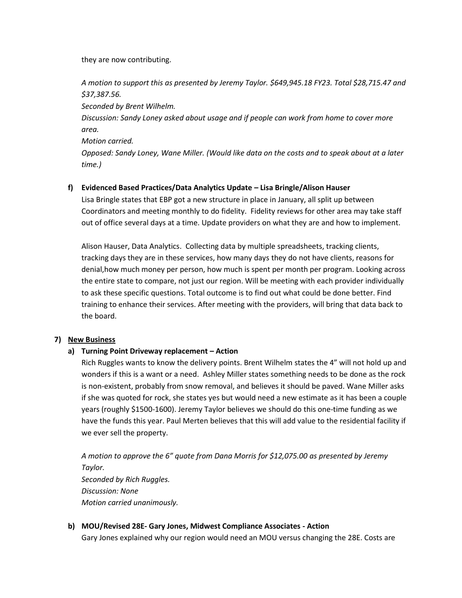they are now contributing.

*A motion to support this as presented by Jeremy Taylor. \$649,945.18 FY23. Total \$28,715.47 and \$37,387.56.*

*Seconded by Brent Wilhelm.*

*Discussion: Sandy Loney asked about usage and if people can work from home to cover more area.* 

*Motion carried.*

*Opposed: Sandy Loney, Wane Miller. (Would like data on the costs and to speak about at a later time.)* 

## **f) Evidenced Based Practices/Data Analytics Update – Lisa Bringle/Alison Hauser**

Lisa Bringle states that EBP got a new structure in place in January, all split up between Coordinators and meeting monthly to do fidelity. Fidelity reviews for other area may take staff out of office several days at a time. Update providers on what they are and how to implement.

Alison Hauser, Data Analytics. Collecting data by multiple spreadsheets, tracking clients, tracking days they are in these services, how many days they do not have clients, reasons for denial,how much money per person, how much is spent per month per program. Looking across the entire state to compare, not just our region. Will be meeting with each provider individually to ask these specific questions. Total outcome is to find out what could be done better. Find training to enhance their services. After meeting with the providers, will bring that data back to the board.

## **7) New Business**

# **a) Turning Point Driveway replacement – Action**

Rich Ruggles wants to know the delivery points. Brent Wilhelm states the 4" will not hold up and wonders if this is a want or a need. Ashley Miller states something needs to be done as the rock is non-existent, probably from snow removal, and believes it should be paved. Wane Miller asks if she was quoted for rock, she states yes but would need a new estimate as it has been a couple years (roughly \$1500-1600). Jeremy Taylor believes we should do this one-time funding as we have the funds this year. Paul Merten believes that this will add value to the residential facility if we ever sell the property.

*A motion to approve the 6" quote from Dana Morris for \$12,075.00 as presented by Jeremy Taylor. Seconded by Rich Ruggles. Discussion: None Motion carried unanimously.*

# **b) MOU/Revised 28E- Gary Jones, Midwest Compliance Associates - Action**

Gary Jones explained why our region would need an MOU versus changing the 28E. Costs are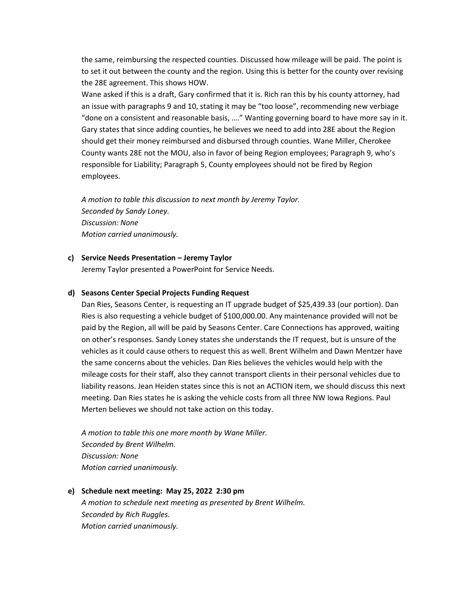the same, reimbursing the respected counties. Discussed how mileage will be paid. The point is to set it out between the county and the region. Using this is better for the county over revising the 28E agreement. This shows HOW.

Wane asked if this is a draft, Gary confirmed that it is. Rich ran this by his county attorney, had an issue with paragraphs 9 and 10, stating it may be "too loose", recommending new verbiage "done on a consistent and reasonable basis, …." Wanting governing board to have more say in it. Gary states that since adding counties, he believes we need to add into 28E about the Region should get their money reimbursed and disbursed through counties. Wane Miller, Cherokee County wants 28E not the MOU, also in favor of being Region employees; Paragraph 9, who's responsible for Liability; Paragraph 5, County employees should not be fired by Region employees.

*A motion to table this discussion to next month by Jeremy Taylor. Seconded by Sandy Loney. Discussion: None Motion carried unanimously.*

#### **c) Service Needs Presentation – Jeremy Taylor**

Jeremy Taylor presented a PowerPoint for Service Needs.

#### **d) Seasons Center Special Projects Funding Request**

Dan Ries, Seasons Center, is requesting an IT upgrade budget of \$25,439.33 (our portion). Dan Ries is also requesting a vehicle budget of \$100,000.00. Any maintenance provided will not be paid by the Region, all will be paid by Seasons Center. Care Connections has approved, waiting on other's responses. Sandy Loney states she understands the IT request, but is unsure of the vehicles as it could cause others to request this as well. Brent Wilhelm and Dawn Mentzer have the same concerns about the vehicles. Dan Ries believes the vehicles would help with the mileage costs for their staff, also they cannot transport clients in their personal vehicles due to liability reasons. Jean Heiden states since this is not an ACTION item, we should discuss this next meeting. Dan Ries states he is asking the vehicle costs from all three NW Iowa Regions. Paul Merten believes we should not take action on this today.

*A motion to table this one more month by Wane Miller. Seconded by Brent Wilhelm. Discussion: None Motion carried unanimously.*

**e) Schedule next meeting: May 25, 2022 2:30 pm** *A motion to schedule next meeting as presented by Brent Wilhelm. Seconded by Rich Ruggles. Motion carried unanimously.*